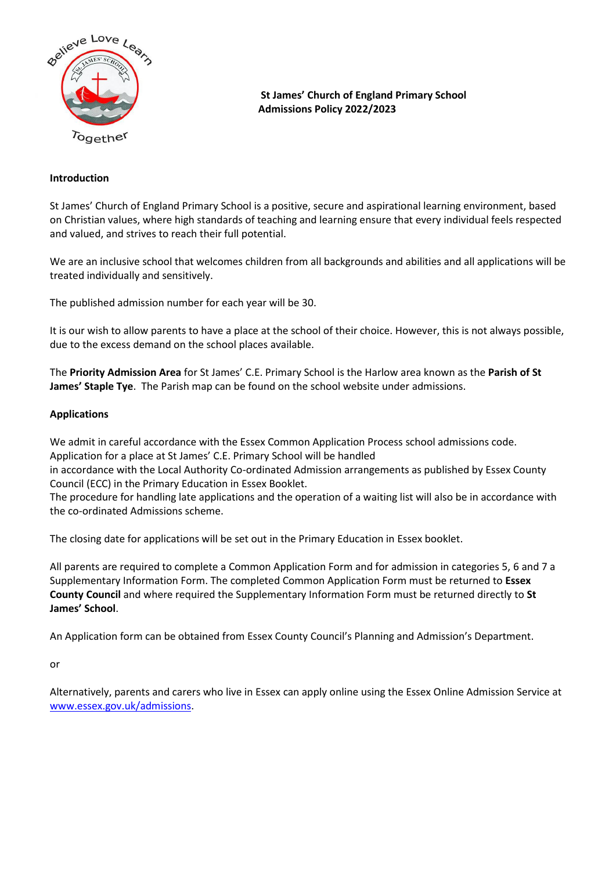

**St James' Church of England Primary School Admissions Policy 2022/2023**

## **Introduction**

St James' Church of England Primary School is a positive, secure and aspirational learning environment, based on Christian values, where high standards of teaching and learning ensure that every individual feels respected and valued, and strives to reach their full potential.

We are an inclusive school that welcomes children from all backgrounds and abilities and all applications will be treated individually and sensitively.

The published admission number for each year will be 30.

It is our wish to allow parents to have a place at the school of their choice. However, this is not always possible, due to the excess demand on the school places available.

The **Priority Admission Area** for St James' C.E. Primary School is the Harlow area known as the **Parish of St James' Staple Tye**. The Parish map can be found on the school website under admissions.

#### **Applications**

We admit in careful accordance with the Essex Common Application Process school admissions code. Application for a place at St James' C.E. Primary School will be handled in accordance with the Local Authority Co-ordinated Admission arrangements as published by Essex County

Council (ECC) in the Primary Education in Essex Booklet. The procedure for handling late applications and the operation of a waiting list will also be in accordance with the co-ordinated Admissions scheme.

The closing date for applications will be set out in the Primary Education in Essex booklet.

All parents are required to complete a Common Application Form and for admission in categories 5, 6 and 7 a Supplementary Information Form. The completed Common Application Form must be returned to **Essex County Council** and where required the Supplementary Information Form must be returned directly to **St James' School**.

An Application form can be obtained from Essex County Council's Planning and Admission's Department.

or

Alternatively, parents and carers who live in Essex can apply online using the Essex Online Admission Service at [www.essex.gov.uk/admissions.](http://www.essex.gov.uk/admissions)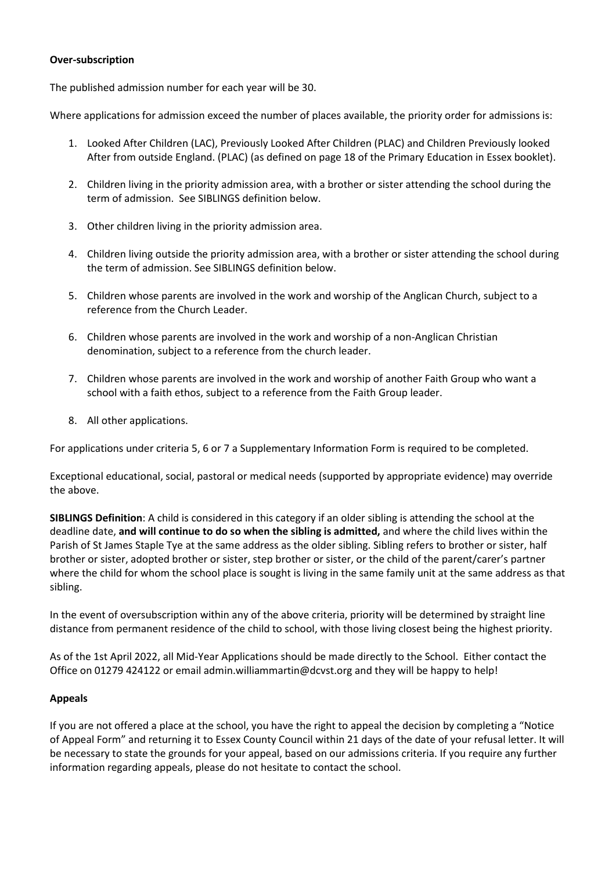### **Over-subscription**

The published admission number for each year will be 30.

Where applications for admission exceed the number of places available, the priority order for admissions is:

- 1. Looked After Children (LAC), Previously Looked After Children (PLAC) and Children Previously looked After from outside England. (PLAC) (as defined on page 18 of the Primary Education in Essex booklet).
- 2. Children living in the priority admission area, with a brother or sister attending the school during the term of admission. See SIBLINGS definition below.
- 3. Other children living in the priority admission area.
- 4. Children living outside the priority admission area, with a brother or sister attending the school during the term of admission. See SIBLINGS definition below.
- 5. Children whose parents are involved in the work and worship of the Anglican Church, subject to a reference from the Church Leader.
- 6. Children whose parents are involved in the work and worship of a non-Anglican Christian denomination, subject to a reference from the church leader.
- 7. Children whose parents are involved in the work and worship of another Faith Group who want a school with a faith ethos, subject to a reference from the Faith Group leader.
- 8. All other applications.

For applications under criteria 5, 6 or 7 a Supplementary Information Form is required to be completed.

Exceptional educational, social, pastoral or medical needs (supported by appropriate evidence) may override the above.

**SIBLINGS Definition**: A child is considered in this category if an older sibling is attending the school at the deadline date, **and will continue to do so when the sibling is admitted,** and where the child lives within the Parish of St James Staple Tye at the same address as the older sibling. Sibling refers to brother or sister, half brother or sister, adopted brother or sister, step brother or sister, or the child of the parent/carer's partner where the child for whom the school place is sought is living in the same family unit at the same address as that sibling.

In the event of oversubscription within any of the above criteria, priority will be determined by straight line distance from permanent residence of the child to school, with those living closest being the highest priority.

As of the 1st April 2022, all Mid-Year Applications should be made directly to the School. Either contact the Office on 01279 424122 or email admin.williammartin@dcvst.org and they will be happy to help!

### **Appeals**

If you are not offered a place at the school, you have the right to appeal the decision by completing a "Notice of Appeal Form" and returning it to Essex County Council within 21 days of the date of your refusal letter. It will be necessary to state the grounds for your appeal, based on our admissions criteria. If you require any further information regarding appeals, please do not hesitate to contact the school.